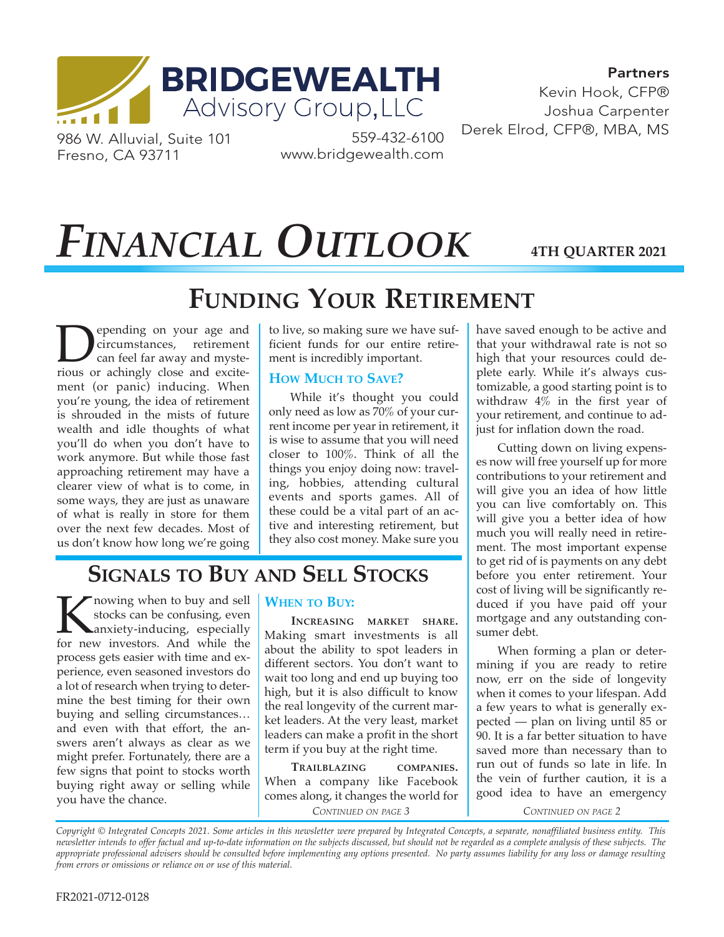

Partners Kevin Hook, CFP® Joshua Carpenter 559-432-6100 Derek Elrod, CFP®, MBA, MS

Fresno, CA 93711

www.bridgewealth.com

# *FINANCIAL OUTLOOK*

**4TH QUARTER 2021**

# **FUNDING YOUR RETIREMENT**

**Depending on your age and circumstances,** retirement can feel far away and mysterious or achingly close and excitecircumstances, retirement can feel far away and mystement (or panic) inducing. When you're young, the idea of retirement is shrouded in the mists of future wealth and idle thoughts of what you'll do when you don't have to work anymore. But while those fast approaching retirement may have a clearer view of what is to come, in some ways, they are just as unaware of what is really in store for them over the next few decades. Most of us don't know how long we're going

to live, so making sure we have sufficient funds for our entire retirement is incredibly important.

#### **HOW MUCH TO SAVE?**

While it's thought you could only need as low as 70% of your current income per year in retirement, it is wise to assume that you will need closer to 100%. Think of all the things you enjoy doing now: traveling, hobbies, attending cultural events and sports games. All of these could be a vital part of an active and interesting retirement, but they also cost money. Make sure you

# **SIGNALS TO BUY AND SELL STOCKS**

Knowing when to buy and sell stocks can be confusing, even anxiety-inducing, especially for new investors. And while the stocks can be confusing, even anxiety-inducing, especially process gets easier with time and experience, even seasoned investors do a lot of research when trying to determine the best timing for their own buying and selling circumstances… and even with that effort, the answers aren't always as clear as we might prefer. Fortunately, there are a few signs that point to stocks worth buying right away or selling while you have the chance.

#### **WHEN TO BUY:**

**INCREASING MARKET SHARE.** Making smart investments is all about the ability to spot leaders in different sectors. You don't want to wait too long and end up buying too high, but it is also difficult to know the real longevity of the current market leaders. At the very least, market leaders can make a profit in the short term if you buy at the right time.

**TRAILBLAZING COMPANIES.** When a company like Facebook comes along, it changes the world for *CONTINUED ON PAGE 3*

have saved enough to be active and that your withdrawal rate is not so high that your resources could deplete early. While it's always customizable, a good starting point is to withdraw 4% in the first year of your retirement, and continue to adjust for inflation down the road.

Cutting down on living expenses now will free yourself up for more contributions to your retirement and will give you an idea of how little you can live comfortably on. This will give you a better idea of how much you will really need in retirement. The most important expense to get rid of is payments on any debt before you enter retirement. Your cost of living will be significantly reduced if you have paid off your mortgage and any outstanding consumer debt.

When forming a plan or determining if you are ready to retire now, err on the side of longevity when it comes to your lifespan. Add a few years to what is generally expected — plan on living until 85 or 90. It is a far better situation to have saved more than necessary than to run out of funds so late in life. In the vein of further caution, it is a good idea to have an emergency

*CONTINUED ON PAGE 2*

*Copyright © Integrated Concepts 2021. Some articles in this newsletter were prepared by Integrated Concepts, a separate, nonaffiliated business entity. This newsletter intends to offer factual and up-to-date information on the subjects discussed, but should not be regarded as a complete analysis of these subjects. The appropriate professional advisers should be consulted before implementing any options presented. No party assumes liability for any loss or damage resulting from errors or omissions or reliance on or use of this material.*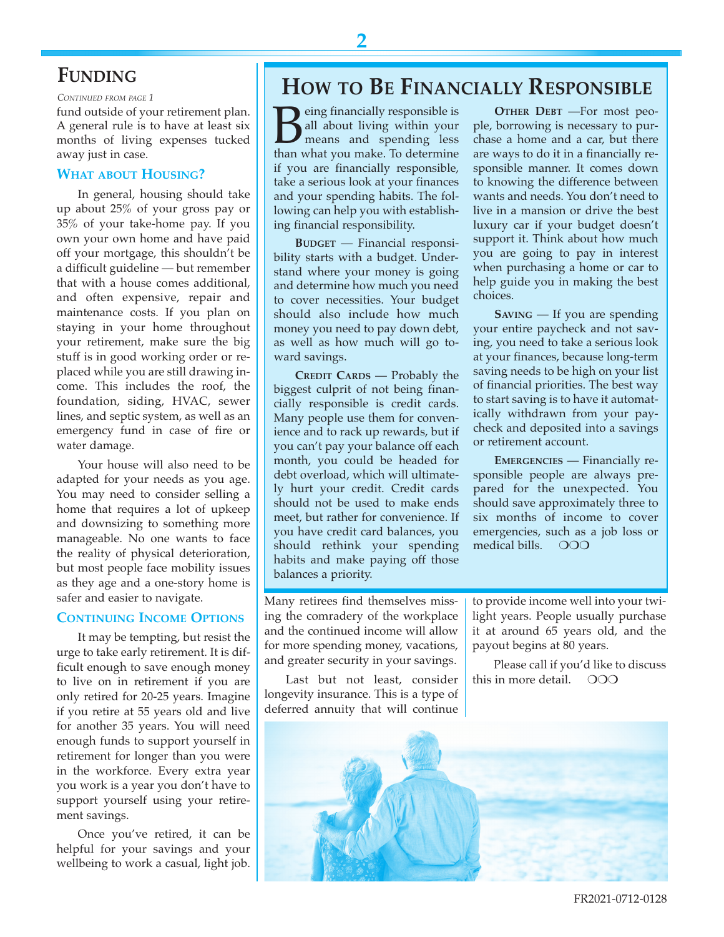**2**

### **FUNDING**

*CONTINUED FROM PAGE 1*

fund outside of your retirement plan. A general rule is to have at least six months of living expenses tucked away just in case.

#### **WHAT ABOUT HOUSING?**

In general, housing should take up about 25% of your gross pay or 35% of your take-home pay. If you own your own home and have paid off your mortgage, this shouldn't be a difficult guideline — but remember that with a house comes additional, and often expensive, repair and maintenance costs. If you plan on staying in your home throughout your retirement, make sure the big stuff is in good working order or replaced while you are still drawing income. This includes the roof, the foundation, siding, HVAC, sewer lines, and septic system, as well as an emergency fund in case of fire or water damage.

Your house will also need to be adapted for your needs as you age. You may need to consider selling a home that requires a lot of upkeep and downsizing to something more manageable. No one wants to face the reality of physical deterioration, but most people face mobility issues as they age and a one-story home is safer and easier to navigate.

#### **CONTINUING INCOME OPTIONS**

It may be tempting, but resist the urge to take early retirement. It is difficult enough to save enough money to live on in retirement if you are only retired for 20-25 years. Imagine if you retire at 55 years old and live for another 35 years. You will need enough funds to support yourself in retirement for longer than you were in the workforce. Every extra year you work is a year you don't have to support yourself using your retirement savings.

Once you've retired, it can be helpful for your savings and your wellbeing to work a casual, light job.

## **HOW TO BE FINANCIALLY RESPONSIBLE**

**BEING FINANCIST SHOW THE ISSUE OF STATE IS STATE** all about living within your means and spending less than what you make. To determine if you are financially responsible, take a serious look at your finances and your spending habits. The following can help you with establishing financial responsibility.

**BUDGET** — Financial responsibility starts with a budget. Understand where your money is going and determine how much you need to cover necessities. Your budget should also include how much money you need to pay down debt, as well as how much will go toward savings.

**CREDIT CARDS** — Probably the biggest culprit of not being financially responsible is credit cards. Many people use them for convenience and to rack up rewards, but if you can't pay your balance off each month, you could be headed for debt overload, which will ultimately hurt your credit. Credit cards should not be used to make ends meet, but rather for convenience. If you have credit card balances, you should rethink your spending habits and make paying off those balances a priority.

**OTHER DEBT** —For most people, borrowing is necessary to purchase a home and a car, but there are ways to do it in a financially responsible manner. It comes down to knowing the difference between wants and needs. You don't need to live in a mansion or drive the best luxury car if your budget doesn't support it. Think about how much you are going to pay in interest when purchasing a home or car to help guide you in making the best choices.

**SAVING** — If you are spending your entire paycheck and not saving, you need to take a serious look at your finances, because long-term saving needs to be high on your list of financial priorities. The best way to start saving is to have it automatically withdrawn from your paycheck and deposited into a savings or retirement account.

**EMERGENCIES** — Financially responsible people are always prepared for the unexpected. You should save approximately three to six months of income to cover emergencies, such as a job loss or medical bills.  $\bigcirc$  OOO

Many retirees find themselves missing the comradery of the workplace and the continued income will allow for more spending money, vacations, and greater security in your savings.

Last but not least, consider longevity insurance. This is a type of deferred annuity that will continue to provide income well into your twilight years. People usually purchase it at around 65 years old, and the payout begins at 80 years.

Please call if you'd like to discuss this in more detail.  $OOO$ 

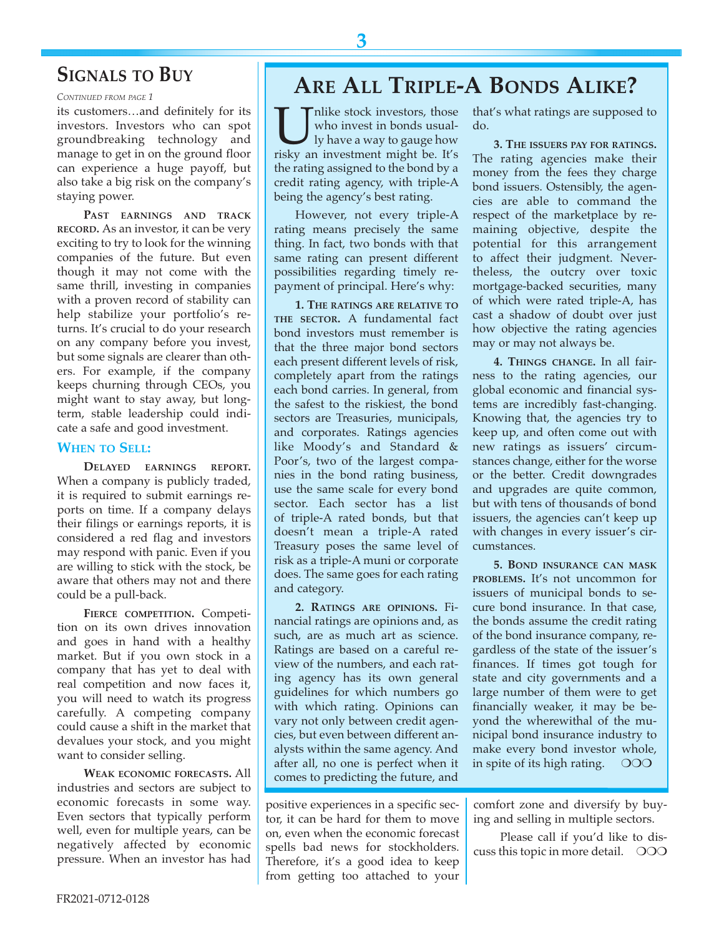### **SIGNALS TO BUY**

*CONTINUED FROM PAGE 1*

its customers…and definitely for its investors. Investors who can spot groundbreaking technology and manage to get in on the ground floor can experience a huge payoff, but also take a big risk on the company's staying power.

**PAST EARNINGS AND TRACK RECORD.** As an investor, it can be very exciting to try to look for the winning companies of the future. But even though it may not come with the same thrill, investing in companies with a proven record of stability can help stabilize your portfolio's returns. It's crucial to do your research on any company before you invest, but some signals are clearer than others. For example, if the company keeps churning through CEOs, you might want to stay away, but longterm, stable leadership could indicate a safe and good investment.

#### **WHEN TO SELL:**

**DELAYED EARNINGS REPORT.** When a company is publicly traded, it is required to submit earnings reports on time. If a company delays their filings or earnings reports, it is considered a red flag and investors may respond with panic. Even if you are willing to stick with the stock, be aware that others may not and there could be a pull-back.

**FIERCE COMPETITION.** Competition on its own drives innovation and goes in hand with a healthy market. But if you own stock in a company that has yet to deal with real competition and now faces it, you will need to watch its progress carefully. A competing company could cause a shift in the market that devalues your stock, and you might want to consider selling.

**WEAK ECONOMIC FORECASTS.** All industries and sectors are subject to economic forecasts in some way. Even sectors that typically perform well, even for multiple years, can be negatively affected by economic pressure. When an investor has had

# **ARE ALL TRIPLE-A BONDS ALIKE?**

**T** nlike stock investors, those<br>who invest in bonds usual-<br>risky an investment might be. It's who invest in bonds usually have a way to gauge how the rating assigned to the bond by a credit rating agency, with triple-A being the agency's best rating.

However, not every triple-A rating means precisely the same thing. In fact, two bonds with that same rating can present different possibilities regarding timely repayment of principal. Here's why:

**1. THE RATINGS ARE RELATIVE TO THE SECTOR.** A fundamental fact bond investors must remember is that the three major bond sectors each present different levels of risk, completely apart from the ratings each bond carries. In general, from the safest to the riskiest, the bond sectors are Treasuries, municipals, and corporates. Ratings agencies like Moody's and Standard & Poor's, two of the largest companies in the bond rating business, use the same scale for every bond sector. Each sector has a list of triple-A rated bonds, but that doesn't mean a triple-A rated Treasury poses the same level of risk as a triple-A muni or corporate does. The same goes for each rating and category.

**2. RATINGS ARE OPINIONS.** Financial ratings are opinions and, as such, are as much art as science. Ratings are based on a careful review of the numbers, and each rating agency has its own general guidelines for which numbers go with which rating. Opinions can vary not only between credit agencies, but even between different analysts within the same agency. And after all, no one is perfect when it comes to predicting the future, and

positive experiences in a specific sector, it can be hard for them to move on, even when the economic forecast spells bad news for stockholders. Therefore, it's a good idea to keep from getting too attached to your

that's what ratings are supposed to do.

**3. THE ISSUERS PAY FOR RATINGS.** The rating agencies make their money from the fees they charge bond issuers. Ostensibly, the agencies are able to command the respect of the marketplace by remaining objective, despite the potential for this arrangement to affect their judgment. Nevertheless, the outcry over toxic mortgage-backed securities, many of which were rated triple-A, has cast a shadow of doubt over just how objective the rating agencies may or may not always be.

**4. THINGS CHANGE.** In all fairness to the rating agencies, our global economic and financial systems are incredibly fast-changing. Knowing that, the agencies try to keep up, and often come out with new ratings as issuers' circumstances change, either for the worse or the better. Credit downgrades and upgrades are quite common, but with tens of thousands of bond issuers, the agencies can't keep up with changes in every issuer's circumstances.

**5. BOND INSURANCE CAN MASK PROBLEMS.** It's not uncommon for issuers of municipal bonds to secure bond insurance. In that case, the bonds assume the credit rating of the bond insurance company, regardless of the state of the issuer's finances. If times got tough for state and city governments and a large number of them were to get financially weaker, it may be beyond the wherewithal of the municipal bond insurance industry to make every bond investor whole, in spite of its high rating.  $\degree$  OOO

comfort zone and diversify by buying and selling in multiple sectors.

Please call if you'd like to discuss this topic in more detail.  $\circ$ OO